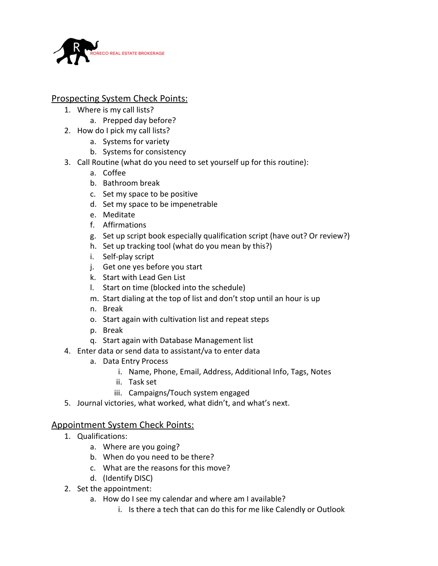

## Prospecting System Check Points:

- 1. Where is my call lists?
	- a. Prepped day before?
- 2. How do I pick my call lists?
	- a. Systems for variety
	- b. Systems for consistency
- 3. Call Routine (what do you need to set yourself up for this routine):
	- a. Coffee
	- b. Bathroom break
	- c. Set my space to be positive
	- d. Set my space to be impenetrable
	- e. Meditate
	- f. Affirmations
	- g. Set up script book especially qualification script (have out? Or review?)
	- h. Set up tracking tool (what do you mean by this?)
	- i. Self-play script
	- j. Get one yes before you start
	- k. Start with Lead Gen List
	- l. Start on time (blocked into the schedule)
	- m. Start dialing at the top of list and don't stop until an hour is up
	- n. Break
	- o. Start again with cultivation list and repeat steps
	- p. Break
	- q. Start again with Database Management list
- 4. Enter data or send data to assistant/va to enter data
	- a. Data Entry Process
		- i. Name, Phone, Email, Address, Additional Info, Tags, Notes
		- ii. Task set
		- iii. Campaigns/Touch system engaged
- 5. Journal victories, what worked, what didn't, and what's next.

# Appointment System Check Points:

- 1. Qualifications:
	- a. Where are you going?
	- b. When do you need to be there?
	- c. What are the reasons for this move?
	- d. (Identify DISC)
- 2. Set the appointment:
	- a. How do I see my calendar and where am I available?
		- i. Is there a tech that can do this for me like Calendly or Outlook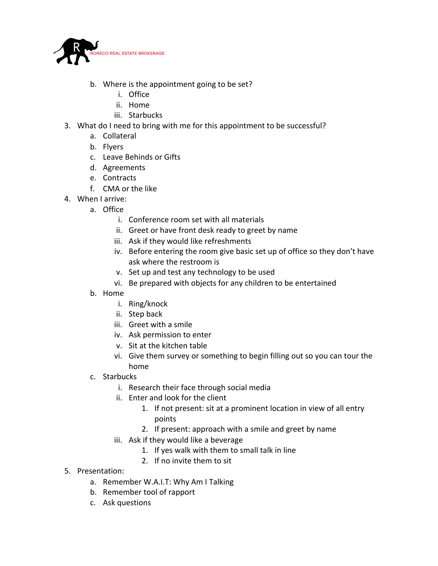

- b. Where is the appointment going to be set?
	- i. Office
	- ii. Home
	- iii. Starbucks
- 3. What do I need to bring with me for this appointment to be successful?
	- a. Collateral
	- b. Flyers
	- c. Leave Behinds or Gifts
	- d. Agreements
	- e. Contracts
	- f. CMA or the like
- 4. When I arrive:
	- a. Office
		- i. Conference room set with all materials
		- ii. Greet or have front desk ready to greet by name
		- iii. Ask if they would like refreshments
		- iv. Before entering the room give basic set up of office so they don't have ask where the restroom is
		- v. Set up and test any technology to be used
		- vi. Be prepared with objects for any children to be entertained
	- b. Home
		- i. Ring/knock
		- ii. Step back
		- iii. Greet with a smile
		- iv. Ask permission to enter
		- v. Sit at the kitchen table
		- vi. Give them survey or something to begin filling out so you can tour the home
	- c. Starbucks
		- i. Research their face through social media
		- ii. Enter and look for the client
			- 1. If not present: sit at a prominent location in view of all entry points
			- 2. If present: approach with a smile and greet by name
		- iii. Ask if they would like a beverage
			- 1. If yes walk with them to small talk in line
			- 2. If no invite them to sit
- 5. Presentation:
	- a. Remember W.A.I.T: Why Am I Talking
	- b. Remember tool of rapport
	- c. Ask questions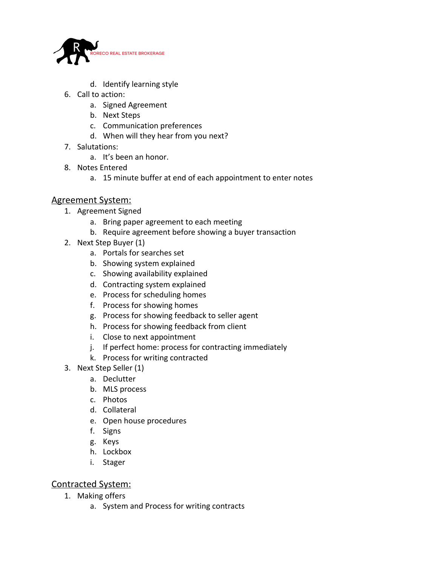

- d. Identify learning style
- 6. Call to action:
	- a. Signed Agreement
	- b. Next Steps
	- c. Communication preferences
	- d. When will they hear from you next?
- 7. Salutations:
	- a. It's been an honor.
- 8. Notes Entered
	- a. 15 minute buffer at end of each appointment to enter notes

### Agreement System:

- 1. Agreement Signed
	- a. Bring paper agreement to each meeting
	- b. Require agreement before showing a buyer transaction
- 2. Next Step Buyer (1)
	- a. Portals for searches set
	- b. Showing system explained
	- c. Showing availability explained
	- d. Contracting system explained
	- e. Process for scheduling homes
	- f. Process for showing homes
	- g. Process for showing feedback to seller agent
	- h. Process for showing feedback from client
	- i. Close to next appointment
	- j. If perfect home: process for contracting immediately
	- k. Process for writing contracted
- 3. Next Step Seller (1)
	- a. Declutter
	- b. MLS process
	- c. Photos
	- d. Collateral
	- e. Open house procedures
	- f. Signs
	- g. Keys
	- h. Lockbox
	- i. Stager

### Contracted System:

- 1. Making offers
	- a. System and Process for writing contracts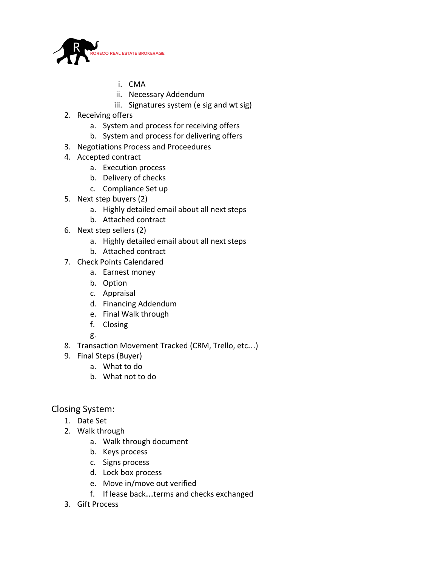

- i. CMA
- ii. Necessary Addendum
- iii. Signatures system (e sig and wt sig)
- 2. Receiving offers
	- a. System and process for receiving offers
	- b. System and process for delivering offers
- 3. Negotiations Process and Proceedures
- 4. Accepted contract
	- a. Execution process
	- b. Delivery of checks
	- c. Compliance Set up
- 5. Next step buyers (2)
	- a. Highly detailed email about all next steps
	- b. Attached contract
- 6. Next step sellers (2)
	- a. Highly detailed email about all next steps
	- b. Attached contract
- 7. Check Points Calendared
	- a. Earnest money
	- b. Option
	- c. Appraisal
	- d. Financing Addendum
	- e. Final Walk through
	- f. Closing

g.

- 8. Transaction Movement Tracked (CRM, Trello, etc…)
- 9. Final Steps (Buyer)
	- a. What to do
	- b. What not to do

### Closing System:

- 1. Date Set
- 2. Walk through
	- a. Walk through document
	- b. Keys process
	- c. Signs process
	- d. Lock box process
	- e. Move in/move out verified
	- f. If lease back…terms and checks exchanged
- 3. Gift Process